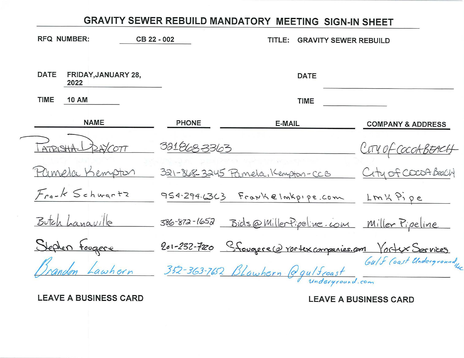| <b>RFQ NUMBER:</b>                         | CB 22 - 002<br>TITI E:<br><b>GRAVITY SEWER REBUILD</b> |                                  |             |                                                           |
|--------------------------------------------|--------------------------------------------------------|----------------------------------|-------------|-----------------------------------------------------------|
| <b>DATE</b><br>FRIDAY, JANUARY 28,<br>2022 |                                                        |                                  | <b>DATE</b> |                                                           |
| <b>TIME</b><br><b>10 AM</b>                |                                                        |                                  | <b>TIME</b> |                                                           |
| <b>NAME</b>                                | <b>PHONE</b>                                           | <b>E-MAIL</b>                    |             | <b>COMPANY &amp; ADDRESS</b>                              |
| 28/677<br>ATRISHA                          | 3218683363                                             |                                  |             | CITY OF COCOABEACH                                        |
| Plimela Kempton                            |                                                        | 321-868-3245 Pamela, Kempton-CCB |             | City of CocoA Beach                                       |
| Frank Schwartz                             |                                                        | 954.294.6363 Frankelmkpipe.com   |             | $LmK\gamma$ , pe                                          |
| Butch Lanaville                            |                                                        |                                  |             | 386-872-1652 Bids@MillerPipeline.com Miller Pipeline      |
| Stephen Fougere                            |                                                        |                                  |             | 201-232-7220 Stougere@rortexcompanies.com Vortex Sorvices |
|                                            |                                                        | 352-363-762 BLawhern @gulfcoast  |             | Gulf Coast Undergroundly                                  |

**LEAVE A BUSINESS CARD**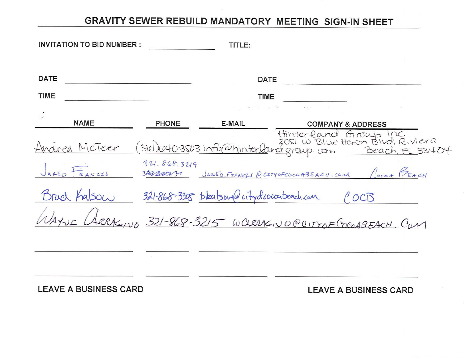|             | <b>INVITATION TO BID NUMBER :</b> |                            | TITLE:                                                        |                              |                                                                                              |
|-------------|-----------------------------------|----------------------------|---------------------------------------------------------------|------------------------------|----------------------------------------------------------------------------------------------|
|             |                                   |                            |                                                               |                              |                                                                                              |
| <b>DATE</b> |                                   |                            | <b>DATE</b>                                                   |                              |                                                                                              |
| <b>TIME</b> |                                   |                            | <b>TIME</b>                                                   |                              |                                                                                              |
|             |                                   |                            | $\mathcal{L}_{\mathcal{L}}$ , and $\mathcal{L}_{\mathcal{L}}$ |                              |                                                                                              |
|             | <b>NAME</b>                       | <b>PHONE</b>               | <b>E-MAIL</b>                                                 | <b>COMPANY &amp; ADDRESS</b> |                                                                                              |
|             | Andrea McTeer                     |                            |                                                               | Hinterland Group Inc         | 2051 W Blue Heron Blud, Riviera<br>(Skl) 040-3503 info@hinterland group. com Beach, FL 33404 |
|             | ARED FRANCIS                      | 321.868.3219<br>3Reprocess | JARED. FRANCIS @ CITYOFCOCCABEACH. COM                        |                              | Locot PEACH                                                                                  |
| Drad        | ha SO(x)                          |                            | 321-868-3308 Dealsowa citydcoconteach.com                     |                              | OCB                                                                                          |
|             |                                   |                            | ARCKEINA 321-868-3215 WCARRACINO@CITYOF COCOABEACH, COM       |                              |                                                                                              |
|             |                                   |                            |                                                               |                              |                                                                                              |

**LEAVE A BUSINESS CARD**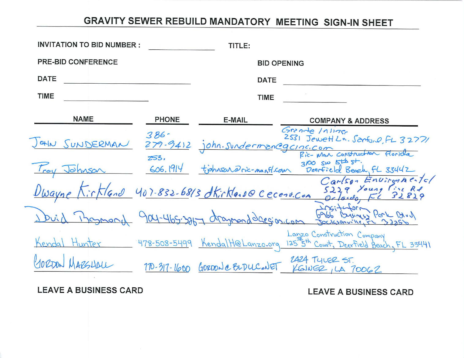| <b>INVITATION TO BID NUMBER:</b> |              | TITLE:             |                                                                                                                                                                          |  |
|----------------------------------|--------------|--------------------|--------------------------------------------------------------------------------------------------------------------------------------------------------------------------|--|
| <b>PRE-BID CONFERENCE</b>        |              | <b>BID OPENING</b> |                                                                                                                                                                          |  |
| <b>DATE</b>                      |              | <b>DATE</b>        |                                                                                                                                                                          |  |
| <b>TIME</b>                      |              | <b>TIME</b>        |                                                                                                                                                                          |  |
| <b>NAME</b>                      | <b>PHONE</b> | <b>E-MAIL</b>      | <b>COMPANY &amp; ADDRESS</b>                                                                                                                                             |  |
|                                  |              |                    | Grande / 11175<br>2531 Jewett Ln. Santo, O.FL 32771<br>Jath SUNDERMAN 279-9412 john. SundermanCgcinc.com                                                                 |  |
|                                  |              |                    | $3100$ sw $5\pm\frac{1}{2}$ st.<br>Troy Johnson 606.1914 tjohnsen Oric-mantleam 3100 sw start.<br>Troy Johnson 606.1914 tjohnsen Oric-mantleam Deerfield Beach, FL 33442 |  |
|                                  |              |                    | Carlson Environmental<br>Dwayne Kirkland 407-832-6813 dkirkland Cecenvicon 5229 Young Fine Rt                                                                            |  |
|                                  |              |                    | Duid Bosmand 904-465-3857 dragmondderesion-com Babb Business Park Davy                                                                                                   |  |
|                                  |              |                    | Lanzo Construction Company<br>Kendal Hunter 478-508-5499 KendalH@Lanzo.org 125 5th Court, Deerfield Beach, FL 33441                                                      |  |
| WARSHOLL                         |              |                    | 170-317-1600 GORDON e BLDUCONET 2424 TYLER ST.                                                                                                                           |  |

**LEAVE A BUSINESS CARD**